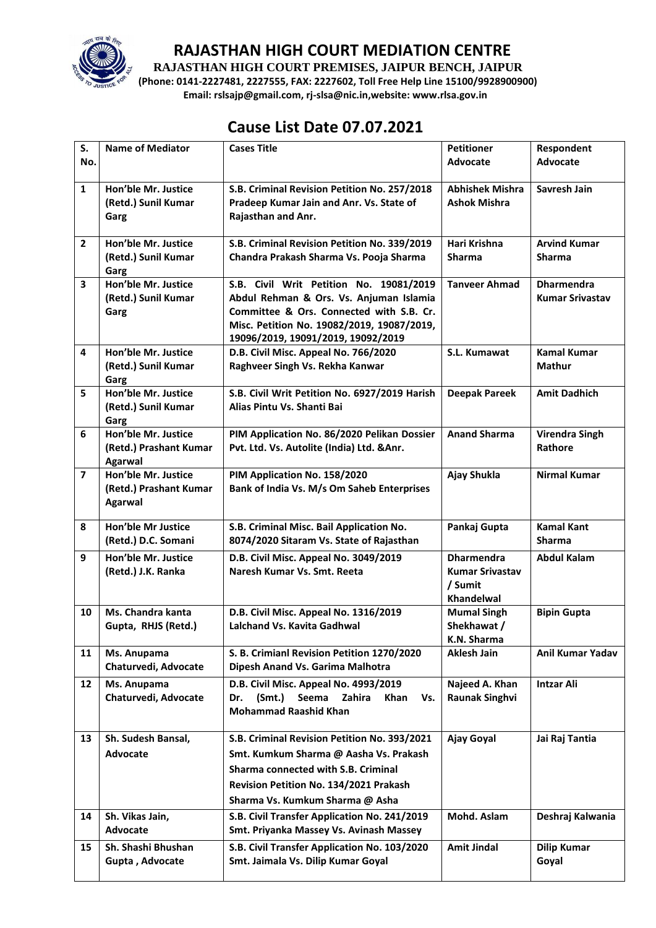

**RAJASTHAN HIGH COURT PREMISES, JAIPUR BENCH, JAIPUR**

**(Phone: 0141-2227481, 2227555, FAX: 2227602, Toll Free Help Line 15100/9928900900) Email: rslsajp@gmail.com, rj-slsa@nic.in,website: www.rlsa.gov.in**

# **Cause List Date 07.07.2021**

| S.<br>No.               | <b>Name of Mediator</b>                                         | <b>Cases Title</b>                                                                                                                                                                                                 | <b>Petitioner</b><br>Advocate                                               | Respondent<br><b>Advocate</b>               |
|-------------------------|-----------------------------------------------------------------|--------------------------------------------------------------------------------------------------------------------------------------------------------------------------------------------------------------------|-----------------------------------------------------------------------------|---------------------------------------------|
| $\mathbf{1}$            | Hon'ble Mr. Justice<br>(Retd.) Sunil Kumar<br>Garg              | S.B. Criminal Revision Petition No. 257/2018<br>Pradeep Kumar Jain and Anr. Vs. State of<br>Rajasthan and Anr.                                                                                                     | <b>Abhishek Mishra</b><br><b>Ashok Mishra</b>                               | Savresh Jain                                |
| $\overline{2}$          | Hon'ble Mr. Justice<br>(Retd.) Sunil Kumar<br>Garg              | S.B. Criminal Revision Petition No. 339/2019<br>Chandra Prakash Sharma Vs. Pooja Sharma                                                                                                                            | Hari Krishna<br><b>Sharma</b>                                               | <b>Arvind Kumar</b><br>Sharma               |
| $\overline{\mathbf{3}}$ | Hon'ble Mr. Justice<br>(Retd.) Sunil Kumar<br>Garg              | S.B. Civil Writ Petition No. 19081/2019<br>Abdul Rehman & Ors. Vs. Anjuman Islamia<br>Committee & Ors. Connected with S.B. Cr.<br>Misc. Petition No. 19082/2019, 19087/2019,<br>19096/2019, 19091/2019, 19092/2019 | <b>Tanveer Ahmad</b>                                                        | <b>Dharmendra</b><br><b>Kumar Srivastav</b> |
| 4                       | Hon'ble Mr. Justice<br>(Retd.) Sunil Kumar<br>Garg              | D.B. Civil Misc. Appeal No. 766/2020<br>Raghveer Singh Vs. Rekha Kanwar                                                                                                                                            | S.L. Kumawat                                                                | <b>Kamal Kumar</b><br>Mathur                |
| 5                       | Hon'ble Mr. Justice<br>(Retd.) Sunil Kumar<br>Garg              | S.B. Civil Writ Petition No. 6927/2019 Harish<br>Alias Pintu Vs. Shanti Bai                                                                                                                                        | <b>Deepak Pareek</b>                                                        | <b>Amit Dadhich</b>                         |
| 6                       | Hon'ble Mr. Justice<br>(Retd.) Prashant Kumar<br>Agarwal        | PIM Application No. 86/2020 Pelikan Dossier<br>Pvt. Ltd. Vs. Autolite (India) Ltd. & Anr.                                                                                                                          | <b>Anand Sharma</b>                                                         | Virendra Singh<br>Rathore                   |
| $\overline{\mathbf{z}}$ | Hon'ble Mr. Justice<br>(Retd.) Prashant Kumar<br><b>Agarwal</b> | PIM Application No. 158/2020<br>Bank of India Vs. M/s Om Saheb Enterprises                                                                                                                                         | Ajay Shukla                                                                 | <b>Nirmal Kumar</b>                         |
| 8                       | Hon'ble Mr Justice<br>(Retd.) D.C. Somani                       | S.B. Criminal Misc. Bail Application No.<br>8074/2020 Sitaram Vs. State of Rajasthan                                                                                                                               | Pankaj Gupta                                                                | <b>Kamal Kant</b><br><b>Sharma</b>          |
| 9                       | Hon'ble Mr. Justice<br>(Retd.) J.K. Ranka                       | D.B. Civil Misc. Appeal No. 3049/2019<br>Naresh Kumar Vs. Smt. Reeta                                                                                                                                               | <b>Dharmendra</b><br><b>Kumar Srivastav</b><br>/ Sumit<br><b>Khandelwal</b> | <b>Abdul Kalam</b>                          |
| 10                      | Ms. Chandra kanta<br>Gupta, RHJS (Retd.)                        | D.B. Civil Misc. Appeal No. 1316/2019<br>Lalchand Vs. Kavita Gadhwal                                                                                                                                               | <b>Mumal Singh</b><br>Shekhawat /<br>K.N. Sharma                            | <b>Bipin Gupta</b>                          |
| 11                      | Ms. Anupama<br>Chaturvedi, Advocate                             | S. B. Crimianl Revision Petition 1270/2020<br>Dipesh Anand Vs. Garima Malhotra                                                                                                                                     | <b>Aklesh Jain</b>                                                          | <b>Anil Kumar Yadav</b>                     |
| 12                      | Ms. Anupama<br>Chaturvedi, Advocate                             | D.B. Civil Misc. Appeal No. 4993/2019<br>(Smt.)<br>Seema<br>Zahira<br>Dr.<br>Khan<br>Vs.<br><b>Mohammad Raashid Khan</b>                                                                                           | Najeed A. Khan<br><b>Raunak Singhvi</b>                                     | <b>Intzar Ali</b>                           |
| 13                      | Sh. Sudesh Bansal,<br>Advocate                                  | S.B. Criminal Revision Petition No. 393/2021<br>Smt. Kumkum Sharma @ Aasha Vs. Prakash<br><b>Sharma connected with S.B. Criminal</b><br>Revision Petition No. 134/2021 Prakash<br>Sharma Vs. Kumkum Sharma @ Asha  | Ajay Goyal                                                                  | Jai Raj Tantia                              |
| 14                      | Sh. Vikas Jain,<br>Advocate                                     | S.B. Civil Transfer Application No. 241/2019<br>Smt. Priyanka Massey Vs. Avinash Massey                                                                                                                            | Mohd. Aslam                                                                 | Deshraj Kalwania                            |
| 15                      | Sh. Shashi Bhushan<br>Gupta, Advocate                           | S.B. Civil Transfer Application No. 103/2020<br>Smt. Jaimala Vs. Dilip Kumar Goyal                                                                                                                                 | <b>Amit Jindal</b>                                                          | <b>Dilip Kumar</b><br>Goyal                 |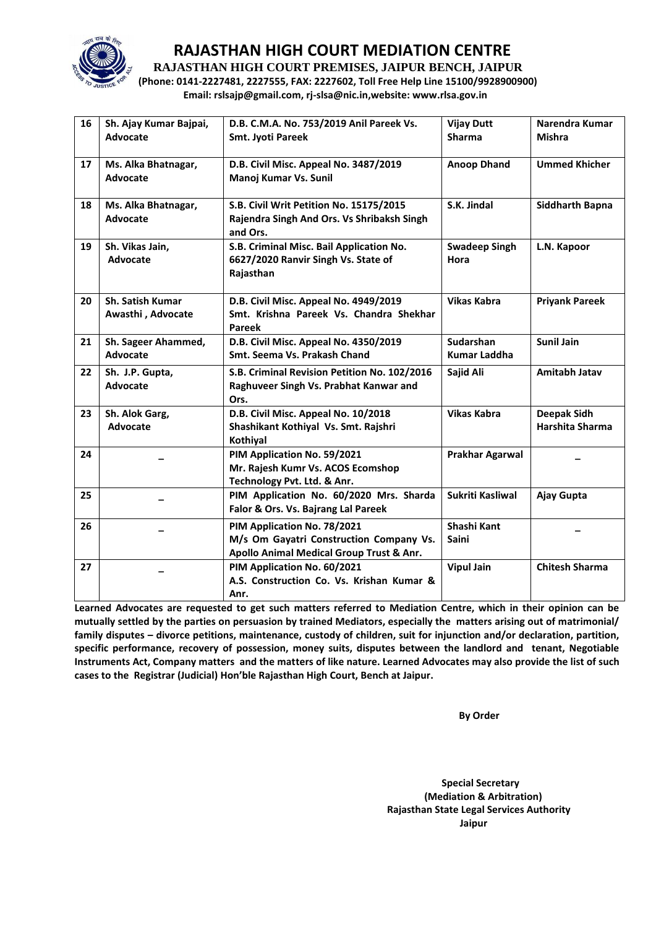

**RAJASTHAN HIGH COURT PREMISES, JAIPUR BENCH, JAIPUR**

**(Phone: 0141-2227481, 2227555, FAX: 2227602, Toll Free Help Line 15100/9928900900) Email: rslsajp@gmail.com, rj-slsa@nic.in,website: www.rlsa.gov.in**

| 16 | Sh. Ajay Kumar Bajpai,<br>Advocate     | D.B. C.M.A. No. 753/2019 Anil Pareek Vs.<br><b>Smt. Jyoti Pareek</b>                                               | <b>Vijay Dutt</b><br><b>Sharma</b> | Narendra Kumar<br><b>Mishra</b> |
|----|----------------------------------------|--------------------------------------------------------------------------------------------------------------------|------------------------------------|---------------------------------|
| 17 | Ms. Alka Bhatnagar,<br><b>Advocate</b> | D.B. Civil Misc. Appeal No. 3487/2019<br>Manoj Kumar Vs. Sunil                                                     | <b>Anoop Dhand</b>                 | <b>Ummed Khicher</b>            |
| 18 | Ms. Alka Bhatnagar,<br><b>Advocate</b> | S.B. Civil Writ Petition No. 15175/2015<br>Rajendra Singh And Ors. Vs Shribaksh Singh<br>and Ors.                  | S.K. Jindal                        | <b>Siddharth Bapna</b>          |
| 19 | Sh. Vikas Jain,<br>Advocate            | S.B. Criminal Misc. Bail Application No.<br>6627/2020 Ranvir Singh Vs. State of<br>Rajasthan                       | <b>Swadeep Singh</b><br>Hora       | L.N. Kapoor                     |
| 20 | Sh. Satish Kumar<br>Awasthi, Advocate  | D.B. Civil Misc. Appeal No. 4949/2019<br>Smt. Krishna Pareek Vs. Chandra Shekhar<br><b>Pareek</b>                  | <b>Vikas Kabra</b>                 | <b>Priyank Pareek</b>           |
| 21 | Sh. Sageer Ahammed,<br><b>Advocate</b> | D.B. Civil Misc. Appeal No. 4350/2019<br>Smt. Seema Vs. Prakash Chand                                              | Sudarshan<br><b>Kumar Laddha</b>   | <b>Sunil Jain</b>               |
| 22 | Sh. J.P. Gupta,<br><b>Advocate</b>     | S.B. Criminal Revision Petition No. 102/2016<br>Raghuveer Singh Vs. Prabhat Kanwar and<br>Ors.                     | Sajid Ali                          | Amitabh Jatav                   |
| 23 | Sh. Alok Garg,<br>Advocate             | D.B. Civil Misc. Appeal No. 10/2018<br>Shashikant Kothiyal Vs. Smt. Rajshri<br>Kothiyal                            | <b>Vikas Kabra</b>                 | Deepak Sidh<br>Harshita Sharma  |
| 24 |                                        | PIM Application No. 59/2021<br>Mr. Rajesh Kumr Vs. ACOS Ecomshop<br>Technology Pvt. Ltd. & Anr.                    | <b>Prakhar Agarwal</b>             |                                 |
| 25 |                                        | PIM Application No. 60/2020 Mrs. Sharda<br>Falor & Ors. Vs. Bajrang Lal Pareek                                     | Sukriti Kasliwal                   | Ajay Gupta                      |
| 26 |                                        | PIM Application No. 78/2021<br>M/s Om Gayatri Construction Company Vs.<br>Apollo Animal Medical Group Trust & Anr. | Shashi Kant<br><b>Saini</b>        |                                 |
| 27 |                                        | PIM Application No. 60/2021<br>A.S. Construction Co. Vs. Krishan Kumar &<br>Anr.                                   | <b>Vipul Jain</b>                  | <b>Chitesh Sharma</b>           |

**Learned Advocates are requested to get such matters referred to Mediation Centre, which in their opinion can be mutually settled by the parties on persuasion by trained Mediators, especially the matters arising out of matrimonial/ family disputes – divorce petitions, maintenance, custody of children, suit for injunction and/or declaration, partition, specific performance, recovery of possession, money suits, disputes between the landlord and tenant, Negotiable Instruments Act, Company matters and the matters of like nature. Learned Advocates may also provide the list of such cases to the Registrar (Judicial) Hon'ble Rajasthan High Court, Bench at Jaipur.** 

 **By Order** 

 **Special Secretary (Mediation & Arbitration) Rajasthan State Legal Services Authority Jaipur**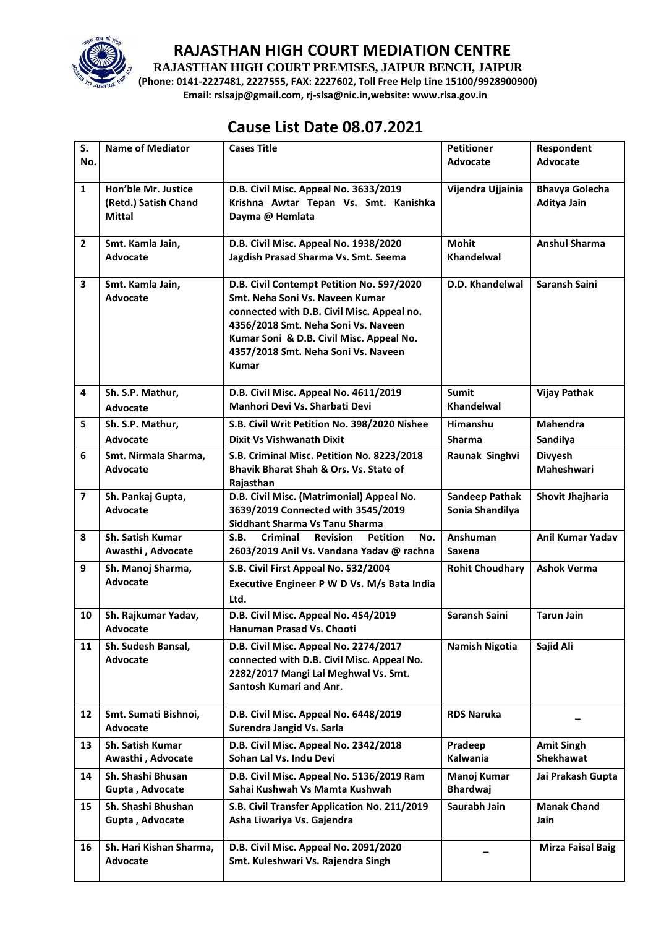

**RAJASTHAN HIGH COURT PREMISES, JAIPUR BENCH, JAIPUR**

**(Phone: 0141-2227481, 2227555, FAX: 2227602, Toll Free Help Line 15100/9928900900) Email: rslsajp@gmail.com, rj-slsa@nic.in,website: www.rlsa.gov.in**

## **Cause List Date 08.07.2021**

| S.<br>No.               | <b>Name of Mediator</b>                                      | <b>Cases Title</b>                                                                                                                                                                                                                                                   | <b>Petitioner</b><br>Advocate            | Respondent<br><b>Advocate</b>         |
|-------------------------|--------------------------------------------------------------|----------------------------------------------------------------------------------------------------------------------------------------------------------------------------------------------------------------------------------------------------------------------|------------------------------------------|---------------------------------------|
| $\mathbf{1}$            | Hon'ble Mr. Justice<br>(Retd.) Satish Chand<br><b>Mittal</b> | D.B. Civil Misc. Appeal No. 3633/2019<br>Krishna Awtar Tepan Vs. Smt. Kanishka<br>Dayma @ Hemlata                                                                                                                                                                    | Vijendra Ujjainia                        | <b>Bhavya Golecha</b><br>Aditya Jain  |
| $\overline{2}$          | Smt. Kamla Jain,<br>Advocate                                 | D.B. Civil Misc. Appeal No. 1938/2020<br>Jagdish Prasad Sharma Vs. Smt. Seema                                                                                                                                                                                        | <b>Mohit</b><br>Khandelwal               | <b>Anshul Sharma</b>                  |
| 3                       | Smt. Kamla Jain,<br>Advocate                                 | D.B. Civil Contempt Petition No. 597/2020<br>Smt. Neha Soni Vs. Naveen Kumar<br>connected with D.B. Civil Misc. Appeal no.<br>4356/2018 Smt. Neha Soni Vs. Naveen<br>Kumar Soni & D.B. Civil Misc. Appeal No.<br>4357/2018 Smt. Neha Soni Vs. Naveen<br><b>Kumar</b> | D.D. Khandelwal                          | Saransh Saini                         |
| 4                       | Sh. S.P. Mathur,<br>Advocate                                 | D.B. Civil Misc. Appeal No. 4611/2019<br>Manhori Devi Vs. Sharbati Devi                                                                                                                                                                                              | <b>Sumit</b><br>Khandelwal               | <b>Vijay Pathak</b>                   |
| 5                       | Sh. S.P. Mathur,<br>Advocate                                 | S.B. Civil Writ Petition No. 398/2020 Nishee<br><b>Dixit Vs Vishwanath Dixit</b>                                                                                                                                                                                     | Himanshu<br><b>Sharma</b>                | <b>Mahendra</b><br>Sandilya           |
| 6                       | Smt. Nirmala Sharma,<br><b>Advocate</b>                      | S.B. Criminal Misc. Petition No. 8223/2018<br><b>Bhavik Bharat Shah &amp; Ors. Vs. State of</b><br>Rajasthan                                                                                                                                                         | Raunak Singhvi                           | <b>Divyesh</b><br>Maheshwari          |
| $\overline{\mathbf{z}}$ | Sh. Pankaj Gupta,<br>Advocate                                | D.B. Civil Misc. (Matrimonial) Appeal No.<br>3639/2019 Connected with 3545/2019<br>Siddhant Sharma Vs Tanu Sharma                                                                                                                                                    | <b>Sandeep Pathak</b><br>Sonia Shandilya | Shovit Jhajharia                      |
| 8                       | <b>Sh. Satish Kumar</b><br>Awasthi, Advocate                 | S.B.<br>Criminal<br><b>Revision</b><br><b>Petition</b><br>No.<br>2603/2019 Anil Vs. Vandana Yadav @ rachna                                                                                                                                                           | Anshuman<br>Saxena                       | <b>Anil Kumar Yadav</b>               |
| 9                       | Sh. Manoj Sharma,<br>Advocate                                | S.B. Civil First Appeal No. 532/2004<br>Executive Engineer P W D Vs. M/s Bata India<br>Ltd.                                                                                                                                                                          | <b>Rohit Choudhary</b>                   | <b>Ashok Verma</b>                    |
| 10                      | Sh. Rajkumar Yadav,<br>Advocate                              | D.B. Civil Misc. Appeal No. 454/2019<br>Hanuman Prasad Vs. Chooti                                                                                                                                                                                                    | Saransh Saini                            | <b>Tarun Jain</b>                     |
| 11                      | Sh. Sudesh Bansal,<br>Advocate                               | D.B. Civil Misc. Appeal No. 2274/2017<br>connected with D.B. Civil Misc. Appeal No.<br>2282/2017 Mangi Lal Meghwal Vs. Smt.<br>Santosh Kumari and Anr.                                                                                                               | <b>Namish Nigotia</b>                    | Sajid Ali                             |
| 12                      | Smt. Sumati Bishnoi,<br>Advocate                             | D.B. Civil Misc. Appeal No. 6448/2019<br>Surendra Jangid Vs. Sarla                                                                                                                                                                                                   | <b>RDS Naruka</b>                        |                                       |
| 13                      | Sh. Satish Kumar<br>Awasthi, Advocate                        | D.B. Civil Misc. Appeal No. 2342/2018<br>Sohan Lal Vs. Indu Devi                                                                                                                                                                                                     | Pradeep<br>Kalwania                      | <b>Amit Singh</b><br><b>Shekhawat</b> |
| 14                      | Sh. Shashi Bhusan<br>Gupta, Advocate                         | D.B. Civil Misc. Appeal No. 5136/2019 Ram<br>Sahai Kushwah Vs Mamta Kushwah                                                                                                                                                                                          | Manoj Kumar<br><b>Bhardwaj</b>           | Jai Prakash Gupta                     |
| 15                      | Sh. Shashi Bhushan<br>Gupta, Advocate                        | S.B. Civil Transfer Application No. 211/2019<br>Asha Liwariya Vs. Gajendra                                                                                                                                                                                           | Saurabh Jain                             | <b>Manak Chand</b><br>Jain            |
| 16                      | Sh. Hari Kishan Sharma,<br>Advocate                          | D.B. Civil Misc. Appeal No. 2091/2020<br>Smt. Kuleshwari Vs. Rajendra Singh                                                                                                                                                                                          |                                          | <b>Mirza Faisal Baig</b>              |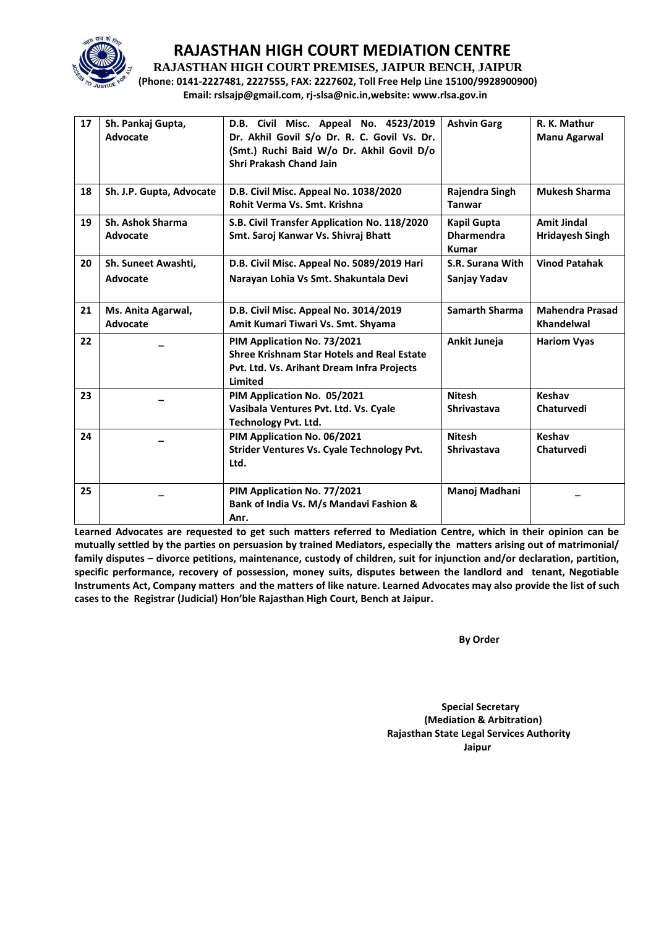

**RAJASTHAN HIGH COURT PREMISES, JAIPUR BENCH, JAIPUR**

**(Phone: 0141-2227481, 2227555, FAX: 2227602, Toll Free Help Line 15100/9928900900) Email: rslsajp@gmail.com, rj-slsa@nic.in,website: www.rlsa.gov.in**

| 17 | Sh. Pankaj Gupta,<br>Advocate   | D.B. Civil Misc. Appeal No. 4523/2019<br>Dr. Akhil Govil S/o Dr. R. C. Govil Vs. Dr.<br>(Smt.) Ruchi Baid W/o Dr. Akhil Govil D/o<br><b>Shri Prakash Chand Jain</b> | <b>Ashvin Garg</b>                                      | R. K. Mathur<br><b>Manu Agarwal</b>          |
|----|---------------------------------|---------------------------------------------------------------------------------------------------------------------------------------------------------------------|---------------------------------------------------------|----------------------------------------------|
| 18 | Sh. J.P. Gupta, Advocate        | D.B. Civil Misc. Appeal No. 1038/2020<br>Rohit Verma Vs. Smt. Krishna                                                                                               | Rajendra Singh<br><b>Tanwar</b>                         | <b>Mukesh Sharma</b>                         |
| 19 | Sh. Ashok Sharma<br>Advocate    | S.B. Civil Transfer Application No. 118/2020<br>Smt. Saroj Kanwar Vs. Shivraj Bhatt                                                                                 | <b>Kapil Gupta</b><br><b>Dharmendra</b><br><b>Kumar</b> | <b>Amit Jindal</b><br><b>Hridayesh Singh</b> |
| 20 | Sh. Suneet Awashti,<br>Advocate | D.B. Civil Misc. Appeal No. 5089/2019 Hari<br>Narayan Lohia Vs Smt. Shakuntala Devi                                                                                 | S.R. Surana With<br>Sanjay Yadav                        | <b>Vinod Patahak</b>                         |
| 21 | Ms. Anita Agarwal,<br>Advocate  | D.B. Civil Misc. Appeal No. 3014/2019<br>Amit Kumari Tiwari Vs. Smt. Shyama                                                                                         | <b>Samarth Sharma</b>                                   | <b>Mahendra Prasad</b><br>Khandelwal         |
| 22 |                                 | PIM Application No. 73/2021<br><b>Shree Krishnam Star Hotels and Real Estate</b><br>Pvt. Ltd. Vs. Arihant Dream Infra Projects<br><b>Limited</b>                    | Ankit Juneja                                            | <b>Hariom Vyas</b>                           |
| 23 |                                 | PIM Application No. 05/2021<br>Vasibala Ventures Pvt. Ltd. Vs. Cyale<br><b>Technology Pvt. Ltd.</b>                                                                 | <b>Nitesh</b><br><b>Shrivastava</b>                     | Keshav<br>Chaturvedi                         |
| 24 |                                 | PIM Application No. 06/2021<br><b>Strider Ventures Vs. Cyale Technology Pvt.</b><br>Ltd.                                                                            | <b>Nitesh</b><br><b>Shrivastava</b>                     | Keshav<br>Chaturvedi                         |
| 25 |                                 | PIM Application No. 77/2021<br>Bank of India Vs. M/s Mandavi Fashion &<br>Anr.                                                                                      | Manoj Madhani                                           |                                              |

**Learned Advocates are requested to get such matters referred to Mediation Centre, which in their opinion can be mutually settled by the parties on persuasion by trained Mediators, especially the matters arising out of matrimonial/ family disputes – divorce petitions, maintenance, custody of children, suit for injunction and/or declaration, partition, specific performance, recovery of possession, money suits, disputes between the landlord and tenant, Negotiable Instruments Act, Company matters and the matters of like nature. Learned Advocates may also provide the list of such cases to the Registrar (Judicial) Hon'ble Rajasthan High Court, Bench at Jaipur.** 

 **By Order** 

 **Special Secretary (Mediation & Arbitration) Rajasthan State Legal Services Authority** ا **Jaipur** کار است که از این است که از این است که از این است که از این است که از این است که از این است که از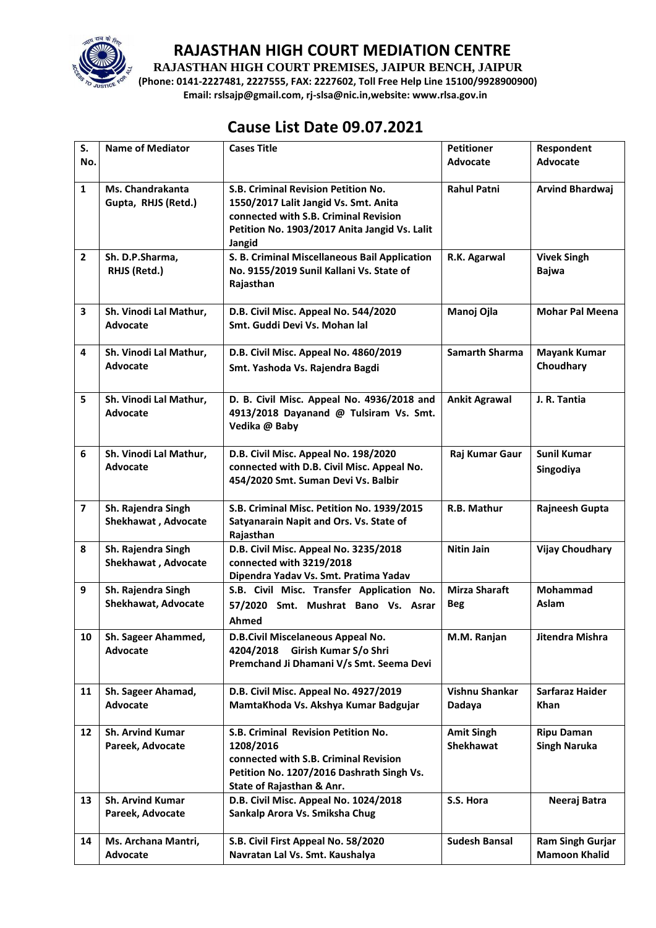

**RAJASTHAN HIGH COURT PREMISES, JAIPUR BENCH, JAIPUR**

**(Phone: 0141-2227481, 2227555, FAX: 2227602, Toll Free Help Line 15100/9928900900) Email: rslsajp@gmail.com, rj-slsa@nic.in,website: www.rlsa.gov.in**

## **Cause List Date 09.07.2021**

| S.                      | <b>Name of Mediator</b>                     | <b>Cases Title</b>                                                                                                                                                               | <b>Petitioner</b>                     | Respondent                                      |
|-------------------------|---------------------------------------------|----------------------------------------------------------------------------------------------------------------------------------------------------------------------------------|---------------------------------------|-------------------------------------------------|
| No.                     |                                             |                                                                                                                                                                                  | Advocate                              | Advocate                                        |
| $\mathbf{1}$            | Ms. Chandrakanta<br>Gupta, RHJS (Retd.)     | S.B. Criminal Revision Petition No.<br>1550/2017 Lalit Jangid Vs. Smt. Anita<br>connected with S.B. Criminal Revision<br>Petition No. 1903/2017 Anita Jangid Vs. Lalit<br>Jangid | <b>Rahul Patni</b>                    | <b>Arvind Bhardwaj</b>                          |
| $\overline{2}$          | Sh. D.P.Sharma,<br>RHJS (Retd.)             | S. B. Criminal Miscellaneous Bail Application<br>No. 9155/2019 Sunil Kallani Vs. State of<br>Rajasthan                                                                           | R.K. Agarwal                          | <b>Vivek Singh</b><br><b>Bajwa</b>              |
| 3                       | Sh. Vinodi Lal Mathur,<br>Advocate          | D.B. Civil Misc. Appeal No. 544/2020<br>Smt. Guddi Devi Vs. Mohan lal                                                                                                            | Manoj Ojla                            | <b>Mohar Pal Meena</b>                          |
| 4                       | Sh. Vinodi Lal Mathur,<br><b>Advocate</b>   | D.B. Civil Misc. Appeal No. 4860/2019<br>Smt. Yashoda Vs. Rajendra Bagdi                                                                                                         | <b>Samarth Sharma</b>                 | <b>Mayank Kumar</b><br>Choudhary                |
| 5                       | Sh. Vinodi Lal Mathur,<br>Advocate          | D. B. Civil Misc. Appeal No. 4936/2018 and<br>4913/2018 Dayanand @ Tulsiram Vs. Smt.<br>Vedika @ Baby                                                                            | <b>Ankit Agrawal</b>                  | J. R. Tantia                                    |
| 6                       | Sh. Vinodi Lal Mathur,<br>Advocate          | D.B. Civil Misc. Appeal No. 198/2020<br>connected with D.B. Civil Misc. Appeal No.<br>454/2020 Smt. Suman Devi Vs. Balbir                                                        | Raj Kumar Gaur                        | <b>Sunil Kumar</b><br>Singodiya                 |
| $\overline{\mathbf{z}}$ | Sh. Rajendra Singh<br>Shekhawat, Advocate   | S.B. Criminal Misc. Petition No. 1939/2015<br>Satyanarain Napit and Ors. Vs. State of<br>Rajasthan                                                                               | R.B. Mathur                           | Rajneesh Gupta                                  |
| 8                       | Sh. Rajendra Singh<br>Shekhawat, Advocate   | D.B. Civil Misc. Appeal No. 3235/2018<br>connected with 3219/2018<br>Dipendra Yadav Vs. Smt. Pratima Yadav                                                                       | <b>Nitin Jain</b>                     | <b>Vijay Choudhary</b>                          |
| 9                       | Sh. Rajendra Singh<br>Shekhawat, Advocate   | S.B. Civil Misc. Transfer Application No.<br>57/2020 Smt. Mushrat Bano Vs. Asrar<br>Ahmed                                                                                        | <b>Mirza Sharaft</b><br><b>Beg</b>    | Mohammad<br>Aslam                               |
| 10                      | Sh. Sageer Ahammed,<br>Advocate             | D.B.Civil Miscelaneous Appeal No.<br>4204/2018<br>Girish Kumar S/o Shri<br>Premchand Ji Dhamani V/s Smt. Seema Devi                                                              | M.M. Ranjan                           | Jitendra Mishra                                 |
| 11                      | Sh. Sageer Ahamad,<br><b>Advocate</b>       | D.B. Civil Misc. Appeal No. 4927/2019<br>MamtaKhoda Vs. Akshya Kumar Badgujar                                                                                                    | Vishnu Shankar<br>Dadaya              | Sarfaraz Haider<br><b>Khan</b>                  |
| $12 \overline{ }$       | <b>Sh. Arvind Kumar</b><br>Pareek, Advocate | S.B. Criminal Revision Petition No.<br>1208/2016<br>connected with S.B. Criminal Revision<br>Petition No. 1207/2016 Dashrath Singh Vs.<br>State of Rajasthan & Anr.              | <b>Amit Singh</b><br><b>Shekhawat</b> | <b>Ripu Daman</b><br><b>Singh Naruka</b>        |
| 13                      | <b>Sh. Arvind Kumar</b><br>Pareek, Advocate | D.B. Civil Misc. Appeal No. 1024/2018<br>Sankalp Arora Vs. Smiksha Chug                                                                                                          | S.S. Hora                             | Neeraj Batra                                    |
| 14                      | Ms. Archana Mantri,<br>Advocate             | S.B. Civil First Appeal No. 58/2020<br>Navratan Lal Vs. Smt. Kaushalya                                                                                                           | <b>Sudesh Bansal</b>                  | <b>Ram Singh Gurjar</b><br><b>Mamoon Khalid</b> |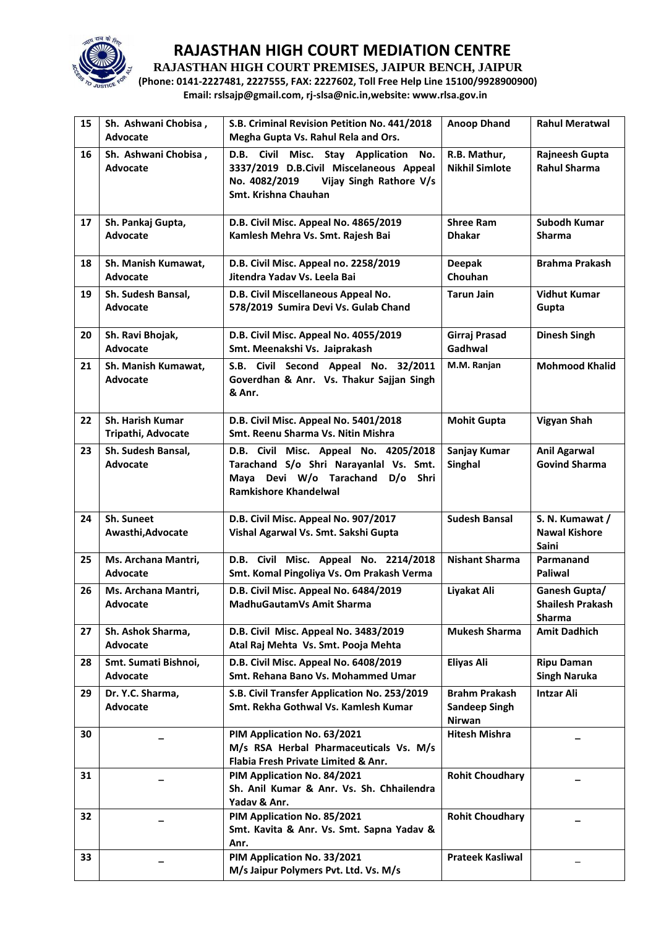

**RAJASTHAN HIGH COURT PREMISES, JAIPUR BENCH, JAIPUR**

**(Phone: 0141-2227481, 2227555, FAX: 2227602, Toll Free Help Line 15100/9928900900) Email: rslsajp@gmail.com, rj-slsa@nic.in,website: www.rlsa.gov.in**

| 15 | Sh. Ashwani Chobisa,<br>Advocate        | S.B. Criminal Revision Petition No. 441/2018<br>Megha Gupta Vs. Rahul Rela and Ors.                                                                     | <b>Anoop Dhand</b>                                            | <b>Rahul Meratwal</b>                                   |
|----|-----------------------------------------|---------------------------------------------------------------------------------------------------------------------------------------------------------|---------------------------------------------------------------|---------------------------------------------------------|
| 16 | Sh. Ashwani Chobisa,<br><b>Advocate</b> | D.B. Civil Misc. Stay Application<br>No.<br>3337/2019 D.B.Civil Miscelaneous Appeal<br>No. 4082/2019<br>Vijay Singh Rathore V/s<br>Smt. Krishna Chauhan | R.B. Mathur,<br><b>Nikhil Simlote</b>                         | Rajneesh Gupta<br><b>Rahul Sharma</b>                   |
| 17 | Sh. Pankaj Gupta,<br><b>Advocate</b>    | D.B. Civil Misc. Appeal No. 4865/2019<br>Kamlesh Mehra Vs. Smt. Rajesh Bai                                                                              | <b>Shree Ram</b><br><b>Dhakar</b>                             | <b>Subodh Kumar</b><br><b>Sharma</b>                    |
| 18 | Sh. Manish Kumawat,<br>Advocate         | D.B. Civil Misc. Appeal no. 2258/2019<br>Jitendra Yadav Vs. Leela Bai                                                                                   | <b>Deepak</b><br>Chouhan                                      | <b>Brahma Prakash</b>                                   |
| 19 | Sh. Sudesh Bansal,<br>Advocate          | D.B. Civil Miscellaneous Appeal No.<br>578/2019 Sumira Devi Vs. Gulab Chand                                                                             | <b>Tarun Jain</b>                                             | <b>Vidhut Kumar</b><br>Gupta                            |
| 20 | Sh. Ravi Bhojak,<br>Advocate            | D.B. Civil Misc. Appeal No. 4055/2019<br>Smt. Meenakshi Vs. Jaiprakash                                                                                  | Girraj Prasad<br>Gadhwal                                      | <b>Dinesh Singh</b>                                     |
| 21 | Sh. Manish Kumawat,<br><b>Advocate</b>  | S.B. Civil Second Appeal No. 32/2011<br>Goverdhan & Anr. Vs. Thakur Sajjan Singh<br>& Anr.                                                              | M.M. Ranjan                                                   | <b>Mohmood Khalid</b>                                   |
| 22 | Sh. Harish Kumar<br>Tripathi, Advocate  | D.B. Civil Misc. Appeal No. 5401/2018<br>Smt. Reenu Sharma Vs. Nitin Mishra                                                                             | <b>Mohit Gupta</b>                                            | Vigyan Shah                                             |
| 23 | Sh. Sudesh Bansal,<br><b>Advocate</b>   | D.B. Civil Misc. Appeal No. 4205/2018<br>Tarachand S/o Shri Narayanlal Vs. Smt.<br>Maya Devi W/o Tarachand D/o Shri<br><b>Ramkishore Khandelwal</b>     | Sanjay Kumar<br>Singhal                                       | <b>Anil Agarwal</b><br><b>Govind Sharma</b>             |
| 24 | Sh. Suneet<br>Awasthi, Advocate         | D.B. Civil Misc. Appeal No. 907/2017<br>Vishal Agarwal Vs. Smt. Sakshi Gupta                                                                            | <b>Sudesh Bansal</b>                                          | S. N. Kumawat /<br><b>Nawal Kishore</b><br><b>Saini</b> |
| 25 | Ms. Archana Mantri,<br>Advocate         | D.B. Civil Misc. Appeal No. 2214/2018<br>Smt. Komal Pingoliya Vs. Om Prakash Verma                                                                      | <b>Nishant Sharma</b>                                         | Parmanand<br><b>Paliwal</b>                             |
| 26 | Ms. Archana Mantri,<br>Advocate         | D.B. Civil Misc. Appeal No. 6484/2019<br>MadhuGautamVs Amit Sharma                                                                                      | Liyakat Ali                                                   | Ganesh Gupta/<br><b>Shailesh Prakash</b><br>Sharma      |
| 27 | Sh. Ashok Sharma,<br>Advocate           | D.B. Civil Misc. Appeal No. 3483/2019<br>Atal Raj Mehta Vs. Smt. Pooja Mehta                                                                            | <b>Mukesh Sharma</b>                                          | <b>Amit Dadhich</b>                                     |
| 28 | Smt. Sumati Bishnoi,<br>Advocate        | D.B. Civil Misc. Appeal No. 6408/2019<br>Smt. Rehana Bano Vs. Mohammed Umar                                                                             | Eliyas Ali                                                    | <b>Ripu Daman</b><br><b>Singh Naruka</b>                |
| 29 | Dr. Y.C. Sharma,<br>Advocate            | S.B. Civil Transfer Application No. 253/2019<br>Smt. Rekha Gothwal Vs. Kamlesh Kumar                                                                    | <b>Brahm Prakash</b><br><b>Sandeep Singh</b><br><b>Nirwan</b> | <b>Intzar Ali</b>                                       |
| 30 |                                         | PIM Application No. 63/2021<br>M/s RSA Herbal Pharmaceuticals Vs. M/s<br>Flabia Fresh Private Limited & Anr.                                            | <b>Hitesh Mishra</b>                                          |                                                         |
| 31 |                                         | PIM Application No. 84/2021<br>Sh. Anil Kumar & Anr. Vs. Sh. Chhailendra<br>Yadav & Anr.                                                                | <b>Rohit Choudhary</b>                                        |                                                         |
| 32 |                                         | PIM Application No. 85/2021<br>Smt. Kavita & Anr. Vs. Smt. Sapna Yadav &<br>Anr.                                                                        | <b>Rohit Choudhary</b>                                        |                                                         |
| 33 |                                         | PIM Application No. 33/2021<br>M/s Jaipur Polymers Pvt. Ltd. Vs. M/s                                                                                    | <b>Prateek Kasliwal</b>                                       |                                                         |